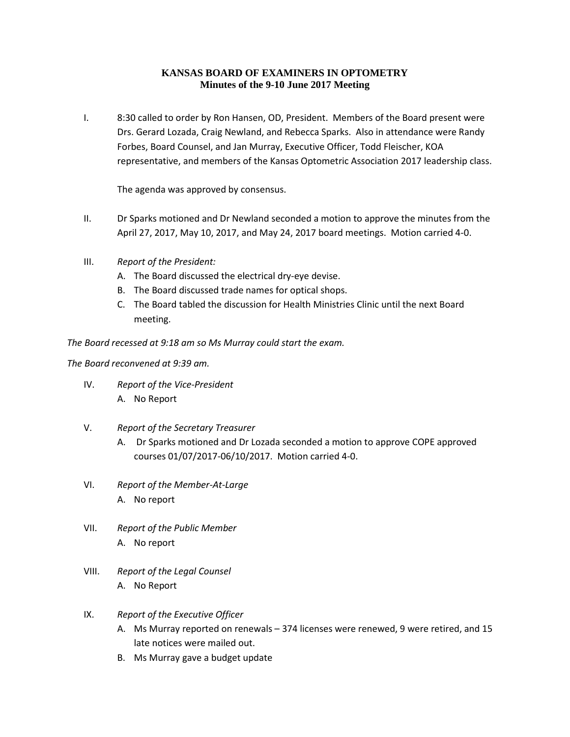#### **KANSAS BOARD OF EXAMINERS IN OPTOMETRY Minutes of the 9-10 June 2017 Meeting**

I. 8:30 called to order by Ron Hansen, OD, President. Members of the Board present were Drs. Gerard Lozada, Craig Newland, and Rebecca Sparks. Also in attendance were Randy Forbes, Board Counsel, and Jan Murray, Executive Officer, Todd Fleischer, KOA representative, and members of the Kansas Optometric Association 2017 leadership class.

The agenda was approved by consensus.

- II. Dr Sparks motioned and Dr Newland seconded a motion to approve the minutes from the April 27, 2017, May 10, 2017, and May 24, 2017 board meetings. Motion carried 4-0.
- III. *Report of the President:*
	- A. The Board discussed the electrical dry-eye devise.
	- B. The Board discussed trade names for optical shops.
	- C. The Board tabled the discussion for Health Ministries Clinic until the next Board meeting.

*The Board recessed at 9:18 am so Ms Murray could start the exam.*

#### *The Board reconvened at 9:39 am.*

- IV. *Report of the Vice-President*  A. No Report
- V. *Report of the Secretary Treasurer*
	- A. Dr Sparks motioned and Dr Lozada seconded a motion to approve COPE approved courses 01/07/2017-06/10/2017. Motion carried 4-0.
- VI. *Report of the Member-At-Large* A. No report
- VII. *Report of the Public Member* A. No report
- VIII. *Report of the Legal Counsel* A. No Report

# IX. *Report of the Executive Officer*

- A. Ms Murray reported on renewals 374 licenses were renewed, 9 were retired, and 15 late notices were mailed out.
- B. Ms Murray gave a budget update